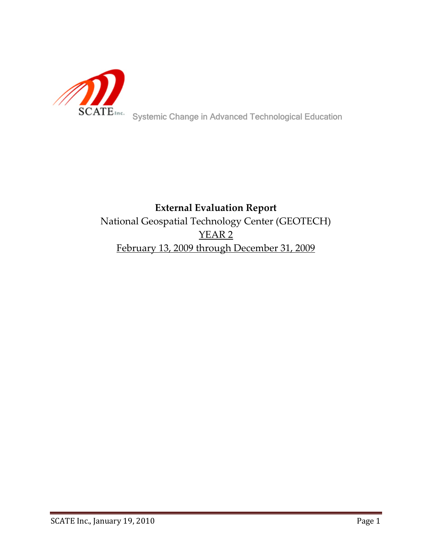

# **External Evaluation Report** National Geospatial Technology Center (GEOTECH) YEAR 2 February 13, 2009 through December 31, 2009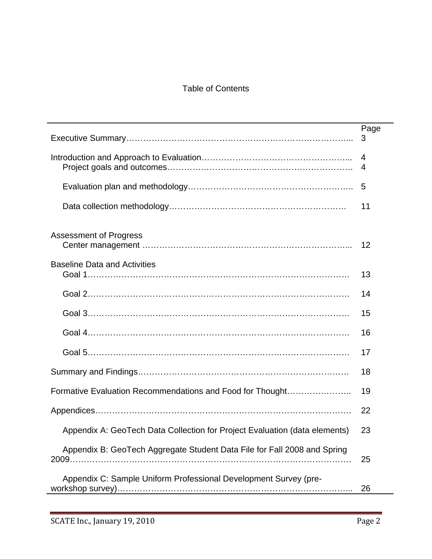# Table of Contents

|                                                                            | Page |
|----------------------------------------------------------------------------|------|
|                                                                            | 3    |
|                                                                            | 4    |
|                                                                            | 4    |
|                                                                            | 5    |
|                                                                            | 11   |
| <b>Assessment of Progress</b>                                              |      |
|                                                                            | 12   |
| <b>Baseline Data and Activities</b>                                        |      |
|                                                                            | 13   |
|                                                                            | 14   |
|                                                                            | 15   |
|                                                                            | 16   |
|                                                                            | 17   |
|                                                                            | 18   |
| Formative Evaluation Recommendations and Food for Thought                  | 19   |
|                                                                            | 22   |
| Appendix A: GeoTech Data Collection for Project Evaluation (data elements) | 23   |
| Appendix B: GeoTech Aggregate Student Data File for Fall 2008 and Spring   |      |
|                                                                            | 25   |
| Appendix C: Sample Uniform Professional Development Survey (pre-           |      |
|                                                                            | 26   |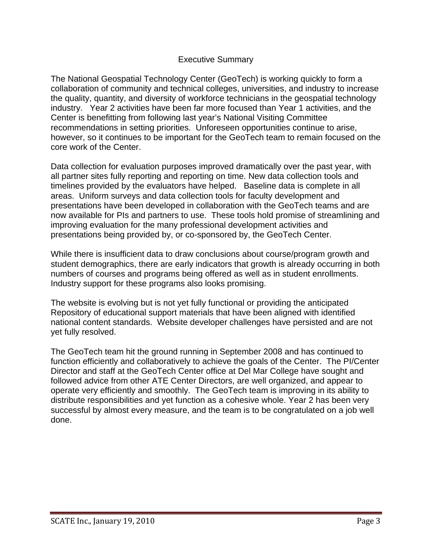# Executive Summary

The National Geospatial Technology Center (GeoTech) is working quickly to form a collaboration of community and technical colleges, universities, and industry to increase the quality, quantity, and diversity of workforce technicians in the geospatial technology industry. Year 2 activities have been far more focused than Year 1 activities, and the Center is benefitting from following last year's National Visiting Committee recommendations in setting priorities. Unforeseen opportunities continue to arise, however, so it continues to be important for the GeoTech team to remain focused on the core work of the Center.

Data collection for evaluation purposes improved dramatically over the past year, with all partner sites fully reporting and reporting on time. New data collection tools and timelines provided by the evaluators have helped. Baseline data is complete in all areas. Uniform surveys and data collection tools for faculty development and presentations have been developed in collaboration with the GeoTech teams and are now available for PIs and partners to use. These tools hold promise of streamlining and improving evaluation for the many professional development activities and presentations being provided by, or co-sponsored by, the GeoTech Center.

While there is insufficient data to draw conclusions about course/program growth and student demographics, there are early indicators that growth is already occurring in both numbers of courses and programs being offered as well as in student enrollments. Industry support for these programs also looks promising.

The website is evolving but is not yet fully functional or providing the anticipated Repository of educational support materials that have been aligned with identified national content standards. Website developer challenges have persisted and are not yet fully resolved.

The GeoTech team hit the ground running in September 2008 and has continued to function efficiently and collaboratively to achieve the goals of the Center. The PI/Center Director and staff at the GeoTech Center office at Del Mar College have sought and followed advice from other ATE Center Directors, are well organized, and appear to operate very efficiently and smoothly. The GeoTech team is improving in its ability to distribute responsibilities and yet function as a cohesive whole. Year 2 has been very successful by almost every measure, and the team is to be congratulated on a job well done.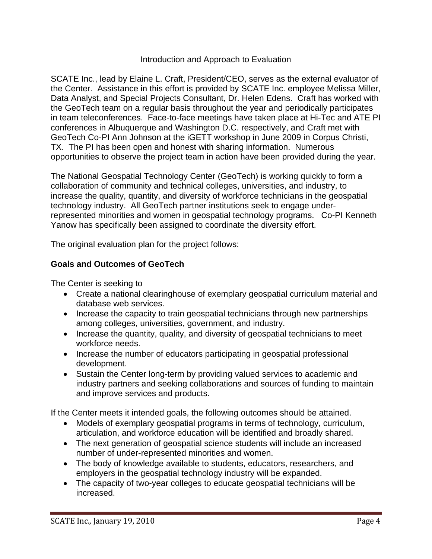#### Introduction and Approach to Evaluation

SCATE Inc., lead by Elaine L. Craft, President/CEO, serves as the external evaluator of the Center. Assistance in this effort is provided by SCATE Inc. employee Melissa Miller, Data Analyst, and Special Projects Consultant, Dr. Helen Edens. Craft has worked with the GeoTech team on a regular basis throughout the year and periodically participates in team teleconferences. Face-to-face meetings have taken place at Hi-Tec and ATE PI conferences in Albuquerque and Washington D.C. respectively, and Craft met with GeoTech Co-PI Ann Johnson at the iGETT workshop in June 2009 in Corpus Christi, TX. The PI has been open and honest with sharing information. Numerous opportunities to observe the project team in action have been provided during the year.

The National Geospatial Technology Center (GeoTech) is working quickly to form a collaboration of community and technical colleges, universities, and industry, to increase the quality, quantity, and diversity of workforce technicians in the geospatial technology industry. All GeoTech partner institutions seek to engage underrepresented minorities and women in geospatial technology programs. Co-PI Kenneth Yanow has specifically been assigned to coordinate the diversity effort.

The original evaluation plan for the project follows:

# **Goals and Outcomes of GeoTech**

The Center is seeking to

- Create a national clearinghouse of exemplary geospatial curriculum material and database web services.
- Increase the capacity to train geospatial technicians through new partnerships among colleges, universities, government, and industry.
- Increase the quantity, quality, and diversity of geospatial technicians to meet workforce needs.
- Increase the number of educators participating in geospatial professional development.
- Sustain the Center long-term by providing valued services to academic and industry partners and seeking collaborations and sources of funding to maintain and improve services and products.

If the Center meets it intended goals, the following outcomes should be attained.

- Models of exemplary geospatial programs in terms of technology, curriculum, articulation, and workforce education will be identified and broadly shared.
- The next generation of geospatial science students will include an increased number of under-represented minorities and women.
- The body of knowledge available to students, educators, researchers, and employers in the geospatial technology industry will be expanded.
- The capacity of two-year colleges to educate geospatial technicians will be increased.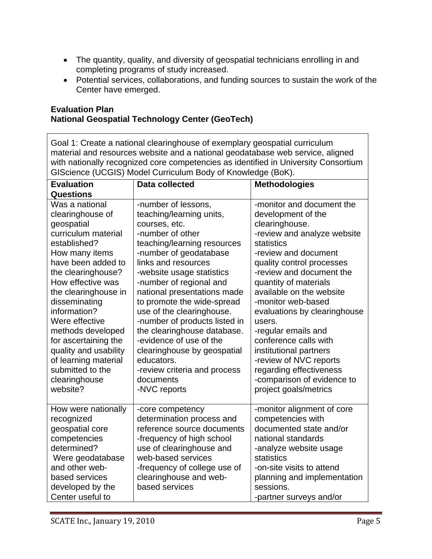- The quantity, quality, and diversity of geospatial technicians enrolling in and completing programs of study increased.
- Potential services, collaborations, and funding sources to sustain the work of the Center have emerged.

#### **Evaluation Plan National Geospatial Technology Center (GeoTech)**

Goal 1: Create a national clearinghouse of exemplary geospatial curriculum material and resources website and a national geodatabase web service, aligned with nationally recognized core competencies as identified in University Consortium GIScience (UCGIS) Model Curriculum Body of Knowledge (BoK).

| <b>Evaluation</b>                                                                                                                                                                                                                                                                                                                                                                                    | <b>Data collected</b>                                                                                                                                                                                                                                                                                                                                                                                                                                                                                                       | <b>Methodologies</b>                                                                                                                                                                                                                                                                                                                                                                                                                                                                                       |
|------------------------------------------------------------------------------------------------------------------------------------------------------------------------------------------------------------------------------------------------------------------------------------------------------------------------------------------------------------------------------------------------------|-----------------------------------------------------------------------------------------------------------------------------------------------------------------------------------------------------------------------------------------------------------------------------------------------------------------------------------------------------------------------------------------------------------------------------------------------------------------------------------------------------------------------------|------------------------------------------------------------------------------------------------------------------------------------------------------------------------------------------------------------------------------------------------------------------------------------------------------------------------------------------------------------------------------------------------------------------------------------------------------------------------------------------------------------|
| <b>Questions</b>                                                                                                                                                                                                                                                                                                                                                                                     |                                                                                                                                                                                                                                                                                                                                                                                                                                                                                                                             |                                                                                                                                                                                                                                                                                                                                                                                                                                                                                                            |
| Was a national<br>clearinghouse of<br>geospatial<br>curriculum material<br>established?<br>How many items<br>have been added to<br>the clearinghouse?<br>How effective was<br>the clearinghouse in<br>disseminating<br>information?<br>Were effective<br>methods developed<br>for ascertaining the<br>quality and usability<br>of learning material<br>submitted to the<br>clearinghouse<br>website? | -number of lessons,<br>teaching/learning units,<br>courses, etc.<br>-number of other<br>teaching/learning resources<br>-number of geodatabase<br>links and resources<br>-website usage statistics<br>-number of regional and<br>national presentations made<br>to promote the wide-spread<br>use of the clearinghouse.<br>-number of products listed in<br>the clearinghouse database.<br>-evidence of use of the<br>clearinghouse by geospatial<br>educators.<br>-review criteria and process<br>documents<br>-NVC reports | -monitor and document the<br>development of the<br>clearinghouse.<br>-review and analyze website<br>statistics<br>-review and document<br>quality control processes<br>-review and document the<br>quantity of materials<br>available on the website<br>-monitor web-based<br>evaluations by clearinghouse<br>users.<br>-regular emails and<br>conference calls with<br>institutional partners<br>-review of NVC reports<br>regarding effectiveness<br>-comparison of evidence to<br>project goals/metrics |
| How were nationally<br>recognized<br>geospatial core<br>competencies<br>determined?<br>Were geodatabase<br>and other web-<br>based services<br>developed by the<br>Center useful to                                                                                                                                                                                                                  | -core competency<br>determination process and<br>reference source documents<br>-frequency of high school<br>use of clearinghouse and<br>web-based services<br>-frequency of college use of<br>clearinghouse and web-<br>based services                                                                                                                                                                                                                                                                                      | -monitor alignment of core<br>competencies with<br>documented state and/or<br>national standards<br>-analyze website usage<br>statistics<br>-on-site visits to attend<br>planning and implementation<br>sessions.<br>-partner surveys and/or                                                                                                                                                                                                                                                               |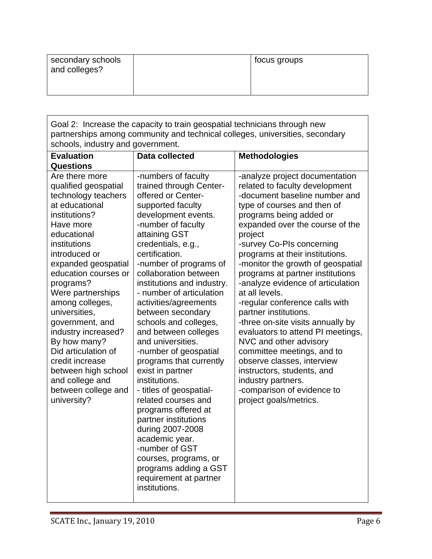| secondary schools<br>and colleges? | focus groups |
|------------------------------------|--------------|
|                                    |              |

Goal 2: Increase the capacity to train geospatial technicians through new partnerships among community and technical colleges, universities, secondary schools, industry and government.

| <b>Evaluation</b>                                                                                                                                                                                                                                                                                                                                                                                                                                                                          | <b>Data collected</b>                                                                                                                                                                                                                                                                                                                                                                                                                                                                                                                                                                                                                                                                                                                                                           | <b>Methodologies</b>                                                                                                                                                                                                                                                                                                                                                                                                                                                                                                                                                                                                                                                                                                                             |
|--------------------------------------------------------------------------------------------------------------------------------------------------------------------------------------------------------------------------------------------------------------------------------------------------------------------------------------------------------------------------------------------------------------------------------------------------------------------------------------------|---------------------------------------------------------------------------------------------------------------------------------------------------------------------------------------------------------------------------------------------------------------------------------------------------------------------------------------------------------------------------------------------------------------------------------------------------------------------------------------------------------------------------------------------------------------------------------------------------------------------------------------------------------------------------------------------------------------------------------------------------------------------------------|--------------------------------------------------------------------------------------------------------------------------------------------------------------------------------------------------------------------------------------------------------------------------------------------------------------------------------------------------------------------------------------------------------------------------------------------------------------------------------------------------------------------------------------------------------------------------------------------------------------------------------------------------------------------------------------------------------------------------------------------------|
|                                                                                                                                                                                                                                                                                                                                                                                                                                                                                            |                                                                                                                                                                                                                                                                                                                                                                                                                                                                                                                                                                                                                                                                                                                                                                                 |                                                                                                                                                                                                                                                                                                                                                                                                                                                                                                                                                                                                                                                                                                                                                  |
| <b>Questions</b><br>Are there more<br>qualified geospatial<br>technology teachers<br>at educational<br>institutions?<br>Have more<br>educational<br>institutions<br>introduced or<br>expanded geospatial<br>education courses or<br>programs?<br>Were partnerships<br>among colleges,<br>universities,<br>government, and<br>industry increased?<br>By how many?<br>Did articulation of<br>credit increase<br>between high school<br>and college and<br>between college and<br>university? | -numbers of faculty<br>trained through Center-<br>offered or Center-<br>supported faculty<br>development events.<br>-number of faculty<br>attaining GST<br>credentials, e.g.,<br>certification.<br>-number of programs of<br>collaboration between<br>institutions and industry.<br>- number of articulation<br>activities/agreements<br>between secondary<br>schools and colleges,<br>and between colleges<br>and universities.<br>-number of geospatial<br>programs that currently<br>exist in partner<br>institutions.<br>- titles of geospatial-<br>related courses and<br>programs offered at<br>partner institutions<br>during 2007-2008<br>academic year.<br>-number of GST<br>courses, programs, or<br>programs adding a GST<br>requirement at partner<br>institutions. | -analyze project documentation<br>related to faculty development<br>-document baseline number and<br>type of courses and then of<br>programs being added or<br>expanded over the course of the<br>project<br>-survey Co-PIs concerning<br>programs at their institutions.<br>-monitor the growth of geospatial<br>programs at partner institutions<br>-analyze evidence of articulation<br>at all levels.<br>-regular conference calls with<br>partner institutions.<br>-three on-site visits annually by<br>evaluators to attend PI meetings,<br>NVC and other advisory<br>committee meetings, and to<br>observe classes, interview<br>instructors, students, and<br>industry partners.<br>-comparison of evidence to<br>project goals/metrics. |
|                                                                                                                                                                                                                                                                                                                                                                                                                                                                                            |                                                                                                                                                                                                                                                                                                                                                                                                                                                                                                                                                                                                                                                                                                                                                                                 |                                                                                                                                                                                                                                                                                                                                                                                                                                                                                                                                                                                                                                                                                                                                                  |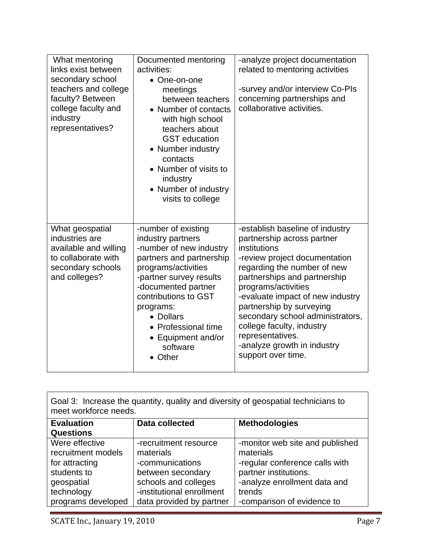| What mentoring<br>links exist between<br>secondary school<br>teachers and college<br>faculty? Between<br>college faculty and<br>industry<br>representatives? | Documented mentoring<br>activities:<br>• One-on-one<br>meetings<br>between teachers<br>• Number of contacts<br>with high school<br>teachers about<br><b>GST</b> education<br>• Number industry<br>contacts<br>• Number of visits to<br>industry<br>• Number of industry<br>visits to college   | -analyze project documentation<br>related to mentoring activities<br>-survey and/or interview Co-PIs<br>concerning partnerships and<br>collaborative activities.                                                                                                                                                                                                                                               |
|--------------------------------------------------------------------------------------------------------------------------------------------------------------|------------------------------------------------------------------------------------------------------------------------------------------------------------------------------------------------------------------------------------------------------------------------------------------------|----------------------------------------------------------------------------------------------------------------------------------------------------------------------------------------------------------------------------------------------------------------------------------------------------------------------------------------------------------------------------------------------------------------|
| What geospatial<br>industries are<br>available and willing<br>to collaborate with<br>secondary schools<br>and colleges?                                      | -number of existing<br>industry partners<br>-number of new industry<br>partners and partnership<br>programs/activities<br>-partner survey results<br>-documented partner<br>contributions to GST<br>programs:<br>• Dollars<br>• Professional time<br>• Equipment and/or<br>software<br>• Other | -establish baseline of industry<br>partnership across partner<br>institutions<br>-review project documentation<br>regarding the number of new<br>partnerships and partnership<br>programs/activities<br>-evaluate impact of new industry<br>partnership by surveying<br>secondary school administrators,<br>college faculty, industry<br>representatives.<br>-analyze growth in industry<br>support over time. |

| Goal 3: Increase the quantity, quality and diversity of geospatial technicians to<br>meet workforce needs. |                           |                                 |  |  |  |
|------------------------------------------------------------------------------------------------------------|---------------------------|---------------------------------|--|--|--|
| <b>Evaluation</b><br><b>Questions</b>                                                                      | Data collected            | <b>Methodologies</b>            |  |  |  |
|                                                                                                            |                           |                                 |  |  |  |
| Were effective                                                                                             | -recruitment resource     | -monitor web site and published |  |  |  |
| recruitment models                                                                                         | materials                 | materials                       |  |  |  |
| for attracting                                                                                             | -communications           | -regular conference calls with  |  |  |  |
| students to                                                                                                | between secondary         | partner institutions.           |  |  |  |
| geospatial                                                                                                 | schools and colleges      | -analyze enrollment data and    |  |  |  |
| technology                                                                                                 | -institutional enrollment | trends                          |  |  |  |
| programs developed                                                                                         | data provided by partner  | -comparison of evidence to      |  |  |  |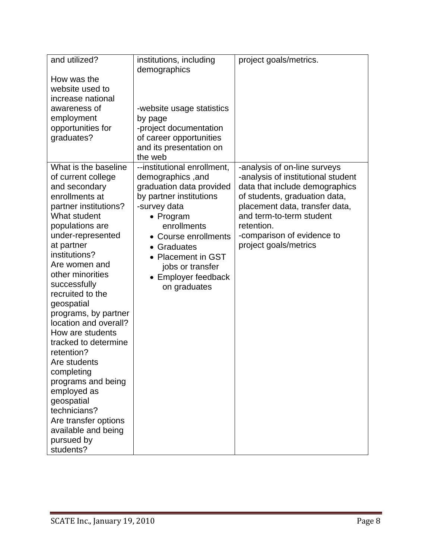| and utilized?<br>How was the<br>website used to<br>increase national<br>awareness of<br>employment<br>opportunities for<br>graduates?                                                                                                                                                                                                                                                                                                                                                                                                                                      | institutions, including<br>demographics<br>-website usage statistics<br>by page<br>-project documentation<br>of career opportunities<br>and its presentation on<br>the web                                                                                                  | project goals/metrics.                                                                                                                                                                                                                                                   |
|----------------------------------------------------------------------------------------------------------------------------------------------------------------------------------------------------------------------------------------------------------------------------------------------------------------------------------------------------------------------------------------------------------------------------------------------------------------------------------------------------------------------------------------------------------------------------|-----------------------------------------------------------------------------------------------------------------------------------------------------------------------------------------------------------------------------------------------------------------------------|--------------------------------------------------------------------------------------------------------------------------------------------------------------------------------------------------------------------------------------------------------------------------|
| What is the baseline<br>of current college<br>and secondary<br>enrollments at<br>partner institutions?<br>What student<br>populations are<br>under-represented<br>at partner<br>institutions?<br>Are women and<br>other minorities<br>successfully<br>recruited to the<br>geospatial<br>programs, by partner<br>location and overall?<br>How are students<br>tracked to determine<br>retention?<br>Are students<br>completing<br>programs and being<br>employed as<br>geospatial<br>technicians?<br>Are transfer options<br>available and being<br>pursued by<br>students? | --institutional enrollment,<br>demographics, and<br>graduation data provided<br>by partner institutions<br>-survey data<br>• Program<br>enrollments<br>• Course enrollments<br>• Graduates<br>• Placement in GST<br>jobs or transfer<br>• Employer feedback<br>on graduates | -analysis of on-line surveys<br>-analysis of institutional student<br>data that include demographics<br>of students, graduation data,<br>placement data, transfer data,<br>and term-to-term student<br>retention.<br>-comparison of evidence to<br>project goals/metrics |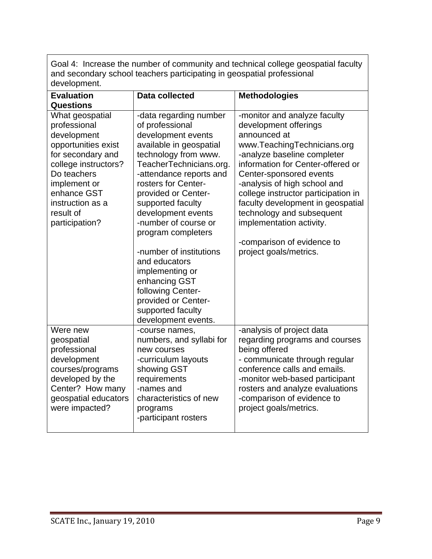Goal 4: Increase the number of community and technical college geospatial faculty and secondary school teachers participating in geospatial professional development.

| <b>Evaluation</b>                                                                                                                                                                                                   | <b>Data collected</b>                                                                                                                                                                                                                                                                                                                                                                                                                                                                   | <b>Methodologies</b>                                                                                                                                                                                                                                                                                                                                                                                                             |
|---------------------------------------------------------------------------------------------------------------------------------------------------------------------------------------------------------------------|-----------------------------------------------------------------------------------------------------------------------------------------------------------------------------------------------------------------------------------------------------------------------------------------------------------------------------------------------------------------------------------------------------------------------------------------------------------------------------------------|----------------------------------------------------------------------------------------------------------------------------------------------------------------------------------------------------------------------------------------------------------------------------------------------------------------------------------------------------------------------------------------------------------------------------------|
| <b>Questions</b>                                                                                                                                                                                                    |                                                                                                                                                                                                                                                                                                                                                                                                                                                                                         |                                                                                                                                                                                                                                                                                                                                                                                                                                  |
| What geospatial<br>professional<br>development<br>opportunities exist<br>for secondary and<br>college instructors?<br>Do teachers<br>implement or<br>enhance GST<br>instruction as a<br>result of<br>participation? | -data regarding number<br>of professional<br>development events<br>available in geospatial<br>technology from www.<br>TeacherTechnicians.org.<br>-attendance reports and<br>rosters for Center-<br>provided or Center-<br>supported faculty<br>development events<br>-number of course or<br>program completers<br>-number of institutions<br>and educators<br>implementing or<br>enhancing GST<br>following Center-<br>provided or Center-<br>supported faculty<br>development events. | -monitor and analyze faculty<br>development offerings<br>announced at<br>www.TeachingTechnicians.org<br>-analyze baseline completer<br>information for Center-offered or<br>Center-sponsored events<br>-analysis of high school and<br>college instructor participation in<br>faculty development in geospatial<br>technology and subsequent<br>implementation activity.<br>-comparison of evidence to<br>project goals/metrics. |
| Were new<br>geospatial<br>professional<br>development<br>courses/programs<br>developed by the<br>Center? How many<br>geospatial educators<br>were impacted?                                                         | -course names,<br>numbers, and syllabi for<br>new courses<br>-curriculum layouts<br>showing GST<br>requirements<br>-names and<br>characteristics of new<br>programs<br>-participant rosters                                                                                                                                                                                                                                                                                             | -analysis of project data<br>regarding programs and courses<br>being offered<br>- communicate through regular<br>conference calls and emails.<br>-monitor web-based participant<br>rosters and analyze evaluations<br>-comparison of evidence to<br>project goals/metrics.                                                                                                                                                       |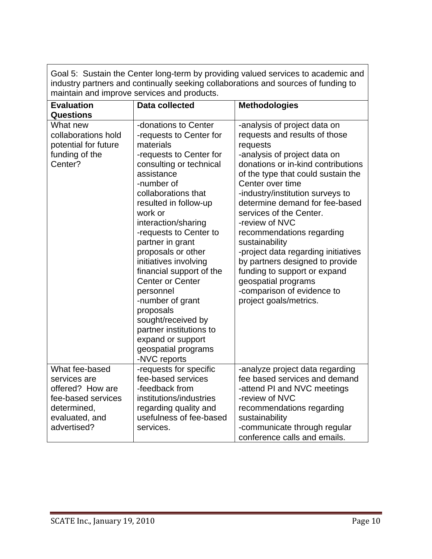|                                                                                                                          | maintain and improve services and products.                                                                                                                                                                                                                                                                                                                                                                                                                                                                                                     |                                                                                                                                                                                                                                                                                                                                                                                                                                                                                                                                                                      |  |  |  |  |
|--------------------------------------------------------------------------------------------------------------------------|-------------------------------------------------------------------------------------------------------------------------------------------------------------------------------------------------------------------------------------------------------------------------------------------------------------------------------------------------------------------------------------------------------------------------------------------------------------------------------------------------------------------------------------------------|----------------------------------------------------------------------------------------------------------------------------------------------------------------------------------------------------------------------------------------------------------------------------------------------------------------------------------------------------------------------------------------------------------------------------------------------------------------------------------------------------------------------------------------------------------------------|--|--|--|--|
| <b>Evaluation</b><br><b>Questions</b>                                                                                    | <b>Data collected</b>                                                                                                                                                                                                                                                                                                                                                                                                                                                                                                                           | <b>Methodologies</b>                                                                                                                                                                                                                                                                                                                                                                                                                                                                                                                                                 |  |  |  |  |
| What new<br>collaborations hold<br>potential for future<br>funding of the<br>Center?                                     | -donations to Center<br>-requests to Center for<br>materials<br>-requests to Center for<br>consulting or technical<br>assistance<br>-number of<br>collaborations that<br>resulted in follow-up<br>work or<br>interaction/sharing<br>-requests to Center to<br>partner in grant<br>proposals or other<br>initiatives involving<br>financial support of the<br><b>Center or Center</b><br>personnel<br>-number of grant<br>proposals<br>sought/received by<br>partner institutions to<br>expand or support<br>geospatial programs<br>-NVC reports | -analysis of project data on<br>requests and results of those<br>requests<br>-analysis of project data on<br>donations or in-kind contributions<br>of the type that could sustain the<br>Center over time<br>-industry/institution surveys to<br>determine demand for fee-based<br>services of the Center.<br>-review of NVC<br>recommendations regarding<br>sustainability<br>-project data regarding initiatives<br>by partners designed to provide<br>funding to support or expand<br>geospatial programs<br>-comparison of evidence to<br>project goals/metrics. |  |  |  |  |
| What fee-based<br>services are<br>offered? How are<br>fee-based services<br>determined,<br>evaluated, and<br>advertised? | -requests for specific<br>fee-based services<br>-feedback from<br>institutions/industries<br>regarding quality and<br>usefulness of fee-based<br>services.                                                                                                                                                                                                                                                                                                                                                                                      | -analyze project data regarding<br>fee based services and demand<br>-attend PI and NVC meetings<br>-review of NVC<br>recommendations regarding<br>sustainability<br>-communicate through regular<br>conference calls and emails.                                                                                                                                                                                                                                                                                                                                     |  |  |  |  |

Goal 5: Sustain the Center long-term by providing valued services to academic and industry partners and continually seeking collaborations and sources of funding to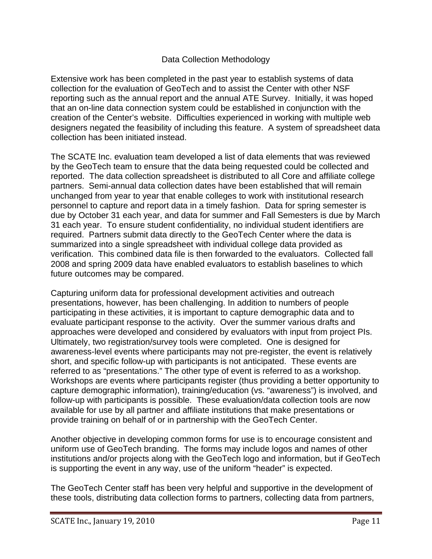## Data Collection Methodology

Extensive work has been completed in the past year to establish systems of data collection for the evaluation of GeoTech and to assist the Center with other NSF reporting such as the annual report and the annual ATE Survey. Initially, it was hoped that an on-line data connection system could be established in conjunction with the creation of the Center's website. Difficulties experienced in working with multiple web designers negated the feasibility of including this feature. A system of spreadsheet data collection has been initiated instead.

The SCATE Inc. evaluation team developed a list of data elements that was reviewed by the GeoTech team to ensure that the data being requested could be collected and reported. The data collection spreadsheet is distributed to all Core and affiliate college partners. Semi-annual data collection dates have been established that will remain unchanged from year to year that enable colleges to work with institutional research personnel to capture and report data in a timely fashion. Data for spring semester is due by October 31 each year, and data for summer and Fall Semesters is due by March 31 each year. To ensure student confidentiality, no individual student identifiers are required. Partners submit data directly to the GeoTech Center where the data is summarized into a single spreadsheet with individual college data provided as verification. This combined data file is then forwarded to the evaluators. Collected fall 2008 and spring 2009 data have enabled evaluators to establish baselines to which future outcomes may be compared.

Capturing uniform data for professional development activities and outreach presentations, however, has been challenging. In addition to numbers of people participating in these activities, it is important to capture demographic data and to evaluate participant response to the activity. Over the summer various drafts and approaches were developed and considered by evaluators with input from project PIs. Ultimately, two registration/survey tools were completed. One is designed for awareness-level events where participants may not pre-register, the event is relatively short, and specific follow-up with participants is not anticipated. These events are referred to as "presentations." The other type of event is referred to as a workshop. Workshops are events where participants register (thus providing a better opportunity to capture demographic information), training/education (vs. "awareness") is involved, and follow-up with participants is possible. These evaluation/data collection tools are now available for use by all partner and affiliate institutions that make presentations or provide training on behalf of or in partnership with the GeoTech Center.

Another objective in developing common forms for use is to encourage consistent and uniform use of GeoTech branding. The forms may include logos and names of other institutions and/or projects along with the GeoTech logo and information, but if GeoTech is supporting the event in any way, use of the uniform "header" is expected.

The GeoTech Center staff has been very helpful and supportive in the development of these tools, distributing data collection forms to partners, collecting data from partners,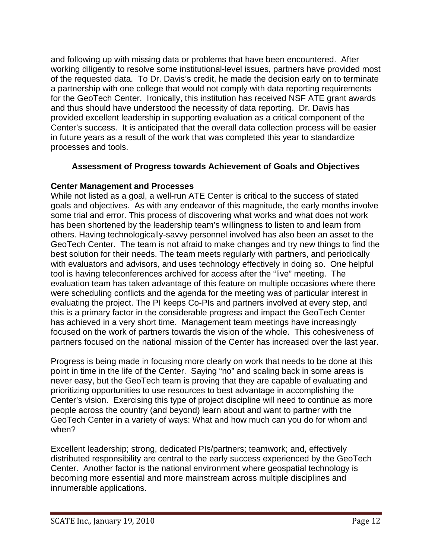and following up with missing data or problems that have been encountered. After working diligently to resolve some institutional-level issues, partners have provided most of the requested data. To Dr. Davis's credit, he made the decision early on to terminate a partnership with one college that would not comply with data reporting requirements for the GeoTech Center. Ironically, this institution has received NSF ATE grant awards and thus should have understood the necessity of data reporting. Dr. Davis has provided excellent leadership in supporting evaluation as a critical component of the Center's success. It is anticipated that the overall data collection process will be easier in future years as a result of the work that was completed this year to standardize processes and tools.

#### **Assessment of Progress towards Achievement of Goals and Objectives**

#### **Center Management and Processes**

While not listed as a goal, a well-run ATE Center is critical to the success of stated goals and objectives. As with any endeavor of this magnitude, the early months involve some trial and error. This process of discovering what works and what does not work has been shortened by the leadership team's willingness to listen to and learn from others. Having technologically-savvy personnel involved has also been an asset to the GeoTech Center. The team is not afraid to make changes and try new things to find the best solution for their needs. The team meets regularly with partners, and periodically with evaluators and advisors, and uses technology effectively in doing so. One helpful tool is having teleconferences archived for access after the "live" meeting. The evaluation team has taken advantage of this feature on multiple occasions where there were scheduling conflicts and the agenda for the meeting was of particular interest in evaluating the project. The PI keeps Co-PIs and partners involved at every step, and this is a primary factor in the considerable progress and impact the GeoTech Center has achieved in a very short time. Management team meetings have increasingly focused on the work of partners towards the vision of the whole. This cohesiveness of partners focused on the national mission of the Center has increased over the last year.

Progress is being made in focusing more clearly on work that needs to be done at this point in time in the life of the Center. Saying "no" and scaling back in some areas is never easy, but the GeoTech team is proving that they are capable of evaluating and prioritizing opportunities to use resources to best advantage in accomplishing the Center's vision. Exercising this type of project discipline will need to continue as more people across the country (and beyond) learn about and want to partner with the GeoTech Center in a variety of ways: What and how much can you do for whom and when?

Excellent leadership; strong, dedicated PIs/partners; teamwork; and, effectively distributed responsibility are central to the early success experienced by the GeoTech Center. Another factor is the national environment where geospatial technology is becoming more essential and more mainstream across multiple disciplines and innumerable applications.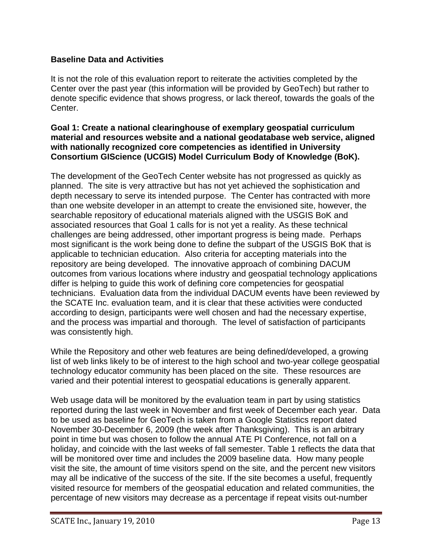# **Baseline Data and Activities**

It is not the role of this evaluation report to reiterate the activities completed by the Center over the past year (this information will be provided by GeoTech) but rather to denote specific evidence that shows progress, or lack thereof, towards the goals of the Center.

#### **Goal 1: Create a national clearinghouse of exemplary geospatial curriculum material and resources website and a national geodatabase web service, aligned with nationally recognized core competencies as identified in University Consortium GIScience (UCGIS) Model Curriculum Body of Knowledge (BoK).**

The development of the GeoTech Center website has not progressed as quickly as planned. The site is very attractive but has not yet achieved the sophistication and depth necessary to serve its intended purpose. The Center has contracted with more than one website developer in an attempt to create the envisioned site, however, the searchable repository of educational materials aligned with the USGIS BoK and associated resources that Goal 1 calls for is not yet a reality. As these technical challenges are being addressed, other important progress is being made. Perhaps most significant is the work being done to define the subpart of the USGIS BoK that is applicable to technician education. Also criteria for accepting materials into the repository are being developed. The innovative approach of combining DACUM outcomes from various locations where industry and geospatial technology applications differ is helping to guide this work of defining core competencies for geospatial technicians. Evaluation data from the individual DACUM events have been reviewed by the SCATE Inc. evaluation team, and it is clear that these activities were conducted according to design, participants were well chosen and had the necessary expertise, and the process was impartial and thorough. The level of satisfaction of participants was consistently high.

While the Repository and other web features are being defined/developed, a growing list of web links likely to be of interest to the high school and two-year college geospatial technology educator community has been placed on the site. These resources are varied and their potential interest to geospatial educations is generally apparent.

Web usage data will be monitored by the evaluation team in part by using statistics reported during the last week in November and first week of December each year. Data to be used as baseline for GeoTech is taken from a Google Statistics report dated November 30-December 6, 2009 (the week after Thanksgiving). This is an arbitrary point in time but was chosen to follow the annual ATE PI Conference, not fall on a holiday, and coincide with the last weeks of fall semester. Table 1 reflects the data that will be monitored over time and includes the 2009 baseline data. How many people visit the site, the amount of time visitors spend on the site, and the percent new visitors may all be indicative of the success of the site. If the site becomes a useful, frequently visited resource for members of the geospatial education and related communities, the percentage of new visitors may decrease as a percentage if repeat visits out-number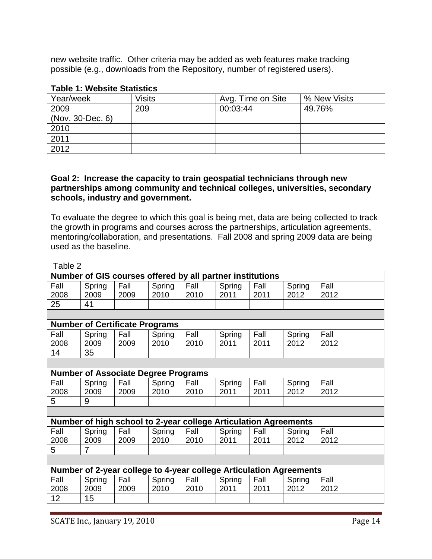new website traffic. Other criteria may be added as web features make tracking possible (e.g., downloads from the Repository, number of registered users).

#### **Table 1: Website Statistics**

| Year/week        | <b>Visits</b> | Avg. Time on Site | % New Visits |
|------------------|---------------|-------------------|--------------|
| 2009             | 209           | 00:03:44          | 49.76%       |
| (Nov. 30-Dec. 6) |               |                   |              |
| 2010             |               |                   |              |
| 2011             |               |                   |              |
| 2012             |               |                   |              |

#### **Goal 2: Increase the capacity to train geospatial technicians through new partnerships among community and technical colleges, universities, secondary schools, industry and government.**

To evaluate the degree to which this goal is being met, data are being collected to track the growth in programs and courses across the partnerships, articulation agreements, mentoring/collaboration, and presentations. Fall 2008 and spring 2009 data are being used as the baseline.

| Table 2 |                                                           |      |        |      |                                                                    |      |        |      |  |
|---------|-----------------------------------------------------------|------|--------|------|--------------------------------------------------------------------|------|--------|------|--|
|         | Number of GIS courses offered by all partner institutions |      |        |      |                                                                    |      |        |      |  |
| Fall    | Spring                                                    | Fall | Spring | Fall | Spring                                                             | Fall | Spring | Fall |  |
| 2008    | 2009                                                      | 2009 | 2010   | 2010 | 2011                                                               | 2011 | 2012   | 2012 |  |
| 25      | 41                                                        |      |        |      |                                                                    |      |        |      |  |
|         |                                                           |      |        |      |                                                                    |      |        |      |  |
|         | <b>Number of Certificate Programs</b>                     |      |        |      |                                                                    |      |        |      |  |
| Fall    | Spring                                                    | Fall | Spring | Fall | Spring                                                             | Fall | Spring | Fall |  |
| 2008    | 2009                                                      | 2009 | 2010   | 2010 | 2011                                                               | 2011 | 2012   | 2012 |  |
| 14      | 35                                                        |      |        |      |                                                                    |      |        |      |  |
|         |                                                           |      |        |      |                                                                    |      |        |      |  |
|         | <b>Number of Associate Degree Programs</b>                |      |        |      |                                                                    |      |        |      |  |
| Fall    | Spring                                                    | Fall | Spring | Fall | Spring                                                             | Fall | Spring | Fall |  |
| 2008    | 2009                                                      | 2009 | 2010   | 2010 | 2011                                                               | 2011 | 2012   | 2012 |  |
| 5       | 9                                                         |      |        |      |                                                                    |      |        |      |  |
|         |                                                           |      |        |      |                                                                    |      |        |      |  |
|         |                                                           |      |        |      | Number of high school to 2-year college Articulation Agreements    |      |        |      |  |
| Fall    | Spring                                                    | Fall | Spring | Fall | Spring                                                             | Fall | Spring | Fall |  |
| 2008    | 2009                                                      | 2009 | 2010   | 2010 | 2011                                                               | 2011 | 2012   | 2012 |  |
| 5       | $\overline{7}$                                            |      |        |      |                                                                    |      |        |      |  |
|         |                                                           |      |        |      |                                                                    |      |        |      |  |
|         |                                                           |      |        |      | Number of 2-year college to 4-year college Articulation Agreements |      |        |      |  |
| Fall    | Spring                                                    | Fall | Spring | Fall | Spring                                                             | Fall | Spring | Fall |  |
| 2008    | 2009                                                      | 2009 | 2010   | 2010 | 2011                                                               | 2011 | 2012   | 2012 |  |
| 12      | 15                                                        |      |        |      |                                                                    |      |        |      |  |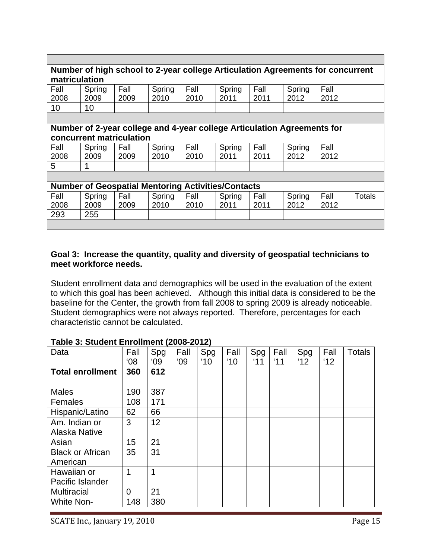| Number of high school to 2-year college Articulation Agreements for concurrent<br>matriculation |                          |      |                                                                         |      |        |      |        |      |        |
|-------------------------------------------------------------------------------------------------|--------------------------|------|-------------------------------------------------------------------------|------|--------|------|--------|------|--------|
| Fall                                                                                            | Spring                   | Fall | Spring                                                                  | Fall | Spring | Fall | Spring | Fall |        |
| 2008                                                                                            | 2009                     | 2009 | 2010                                                                    | 2010 | 2011   | 2011 | 2012   | 2012 |        |
| 10                                                                                              | 10                       |      |                                                                         |      |        |      |        |      |        |
|                                                                                                 |                          |      |                                                                         |      |        |      |        |      |        |
|                                                                                                 |                          |      | Number of 2-year college and 4-year college Articulation Agreements for |      |        |      |        |      |        |
|                                                                                                 | concurrent matriculation |      |                                                                         |      |        |      |        |      |        |
| Fall                                                                                            | Spring                   | Fall | Spring                                                                  | Fall | Spring | Fall | Spring | Fall |        |
| 2008                                                                                            | 2009                     | 2009 | 2010                                                                    | 2010 | 2011   | 2011 | 2012   | 2012 |        |
| 5                                                                                               | $\mathbf 1$              |      |                                                                         |      |        |      |        |      |        |
|                                                                                                 |                          |      |                                                                         |      |        |      |        |      |        |
|                                                                                                 |                          |      | <b>Number of Geospatial Mentoring Activities/Contacts</b>               |      |        |      |        |      |        |
| Fall                                                                                            | Spring                   | Fall | Spring                                                                  | Fall | Spring | Fall | Spring | Fall | Totals |
| 2008                                                                                            | 2009                     | 2009 | 2010                                                                    | 2010 | 2011   | 2011 | 2012   | 2012 |        |
| 293                                                                                             | 255                      |      |                                                                         |      |        |      |        |      |        |
|                                                                                                 |                          |      |                                                                         |      |        |      |        |      |        |

#### **Goal 3: Increase the quantity, quality and diversity of geospatial technicians to meet workforce needs.**

Student enrollment data and demographics will be used in the evaluation of the extent to which this goal has been achieved. Although this initial data is considered to be the baseline for the Center, the growth from fall 2008 to spring 2009 is already noticeable. Student demographics were not always reported. Therefore, percentages for each characteristic cannot be calculated.

| Data                    | Fall           | Spg | Fall | Spg           | Fall          | Spg | Fall | Spg | Fall | <b>Totals</b> |
|-------------------------|----------------|-----|------|---------------|---------------|-----|------|-----|------|---------------|
|                         | 08'            | 09  | 09'  | $^{\prime}10$ | $^{\prime}10$ | '11 | '11  | 12  | 12'  |               |
| <b>Total enrollment</b> | 360            | 612 |      |               |               |     |      |     |      |               |
|                         |                |     |      |               |               |     |      |     |      |               |
| <b>Males</b>            | 190            | 387 |      |               |               |     |      |     |      |               |
| Females                 | 108            | 171 |      |               |               |     |      |     |      |               |
| Hispanic/Latino         | 62             | 66  |      |               |               |     |      |     |      |               |
| Am. Indian or           | 3              | 12  |      |               |               |     |      |     |      |               |
| Alaska Native           |                |     |      |               |               |     |      |     |      |               |
| Asian                   | 15             | 21  |      |               |               |     |      |     |      |               |
| <b>Black or African</b> | 35             | 31  |      |               |               |     |      |     |      |               |
| American                |                |     |      |               |               |     |      |     |      |               |
| Hawaiian or             | 1              | 1   |      |               |               |     |      |     |      |               |
| Pacific Islander        |                |     |      |               |               |     |      |     |      |               |
| <b>Multiracial</b>      | $\overline{0}$ | 21  |      |               |               |     |      |     |      |               |
| <b>White Non-</b>       | 148            | 380 |      |               |               |     |      |     |      |               |

#### **Table 3: Student Enrollment (2008-2012)**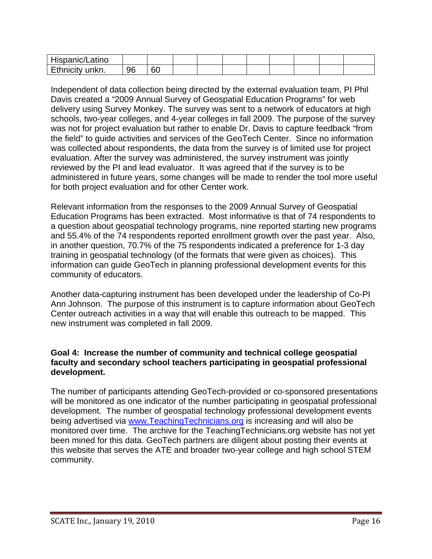| Hispanic/Latino           |    |    |  |  |  |  |
|---------------------------|----|----|--|--|--|--|
| E 41-<br>unkn.<br>inicity | 96 | 60 |  |  |  |  |

Independent of data collection being directed by the external evaluation team, PI Phil Davis created a "2009 Annual Survey of Geospatial Education Programs" for web delivery using Survey Monkey. The survey was sent to a network of educators at high schools, two-year colleges, and 4-year colleges in fall 2009. The purpose of the survey was not for project evaluation but rather to enable Dr. Davis to capture feedback "from the field" to guide activities and services of the GeoTech Center. Since no information was collected about respondents, the data from the survey is of limited use for project evaluation. After the survey was administered, the survey instrument was jointly reviewed by the PI and lead evaluator. It was agreed that if the survey is to be administered in future years, some changes will be made to render the tool more useful for both project evaluation and for other Center work.

Relevant information from the responses to the 2009 Annual Survey of Geospatial Education Programs has been extracted. Most informative is that of 74 respondents to a question about geospatial technology programs, nine reported starting new programs and 55.4% of the 74 respondents reported enrollment growth over the past year. Also, in another question, 70.7% of the 75 respondents indicated a preference for 1-3 day training in geospatial technology (of the formats that were given as choices). This information can guide GeoTech in planning professional development events for this community of educators.

Another data-capturing instrument has been developed under the leadership of Co-PI Ann Johnson. The purpose of this instrument is to capture information about GeoTech Center outreach activities in a way that will enable this outreach to be mapped. This new instrument was completed in fall 2009.

#### **Goal 4: Increase the number of community and technical college geospatial faculty and secondary school teachers participating in geospatial professional development.**

The number of participants attending GeoTech-provided or co-sponsored presentations will be monitored as one indicator of the number participating in geospatial professional development. The number of geospatial technology professional development events being advertised via www.TeachingTechnicians.org is increasing and will also be monitored over time. The archive for the TeachingTechnicians.org website has not yet been mined for this data. GeoTech partners are diligent about posting their events at this website that serves the ATE and broader two-year college and high school STEM community.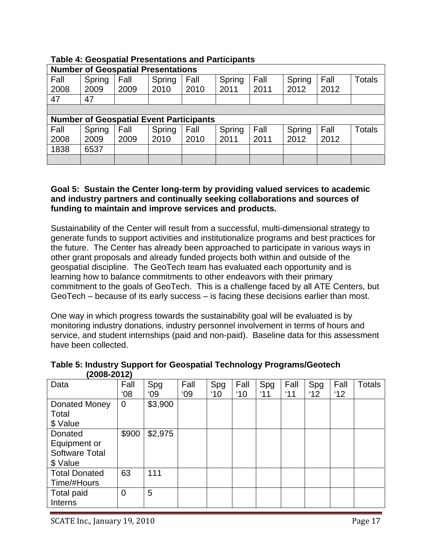| <b>Number of Geospatial Presentations</b>      |        |      |        |      |        |      |        |      |               |
|------------------------------------------------|--------|------|--------|------|--------|------|--------|------|---------------|
| Fall                                           | Spring | Fall | Spring | Fall | Spring | Fall | Spring | Fall | <b>Totals</b> |
| 2008                                           | 2009   | 2009 | 2010   | 2010 | 2011   | 2011 | 2012   | 2012 |               |
| 47                                             | 47     |      |        |      |        |      |        |      |               |
|                                                |        |      |        |      |        |      |        |      |               |
| <b>Number of Geospatial Event Participants</b> |        |      |        |      |        |      |        |      |               |
|                                                |        |      |        |      |        |      |        |      |               |
| Fall                                           | Spring | Fall | Spring | Fall | Spring | Fall | Spring | Fall | <b>Totals</b> |
| 2008                                           | 2009   | 2009 | 2010   | 2010 | 2011   | 2011 | 2012   | 2012 |               |
| 1838                                           | 6537   |      |        |      |        |      |        |      |               |

# **Table 4: Geospatial Presentations and Participants**

#### **Goal 5: Sustain the Center long-term by providing valued services to academic and industry partners and continually seeking collaborations and sources of funding to maintain and improve services and products.**

Sustainability of the Center will result from a successful, multi-dimensional strategy to generate funds to support activities and institutionalize programs and best practices for the future. The Center has already been approached to participate in various ways in other grant proposals and already funded projects both within and outside of the geospatial discipline. The GeoTech team has evaluated each opportunity and is learning how to balance commitments to other endeavors with their primary commitment to the goals of GeoTech. This is a challenge faced by all ATE Centers, but GeoTech – because of its early success – is facing these decisions earlier than most.

One way in which progress towards the sustainability goal will be evaluated is by monitoring industry donations, industry personnel involvement in terms of hours and service, and student internships (paid and non-paid). Baseline data for this assessment have been collected.

| Data                  | Fall           | Spg          | Fall | Spg           | Fall          | Spg | Fall | Spg | Fall | <b>Totals</b> |
|-----------------------|----------------|--------------|------|---------------|---------------|-----|------|-----|------|---------------|
|                       | 08'            | $^{\circ}09$ | 09'  | $^{\prime}10$ | $^{\prime}10$ | '11 | '11  | 12  | 12'  |               |
| Donated Money         | $\overline{0}$ | \$3,900      |      |               |               |     |      |     |      |               |
| Total                 |                |              |      |               |               |     |      |     |      |               |
| \$ Value              |                |              |      |               |               |     |      |     |      |               |
| Donated               | \$900          | \$2,975      |      |               |               |     |      |     |      |               |
| Equipment or          |                |              |      |               |               |     |      |     |      |               |
| <b>Software Total</b> |                |              |      |               |               |     |      |     |      |               |
| \$ Value              |                |              |      |               |               |     |      |     |      |               |
| <b>Total Donated</b>  | 63             | 111          |      |               |               |     |      |     |      |               |
| Time/#Hours           |                |              |      |               |               |     |      |     |      |               |
| Total paid            | $\overline{0}$ | 5            |      |               |               |     |      |     |      |               |
| Interns               |                |              |      |               |               |     |      |     |      |               |

**Table 5: Industry Support for Geospatial Technology Programs/Geotech (2008-2012)**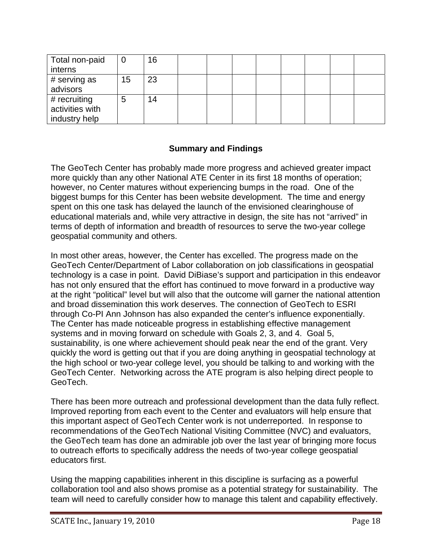| Total non-paid                                   | U  | 16 |  |  |  |  |
|--------------------------------------------------|----|----|--|--|--|--|
| interns                                          |    |    |  |  |  |  |
| # serving as<br>advisors                         | 15 | 23 |  |  |  |  |
| # recruiting<br>activities with<br>industry help | 5  | 14 |  |  |  |  |

#### **Summary and Findings**

The GeoTech Center has probably made more progress and achieved greater impact more quickly than any other National ATE Center in its first 18 months of operation; however, no Center matures without experiencing bumps in the road. One of the biggest bumps for this Center has been website development. The time and energy spent on this one task has delayed the launch of the envisioned clearinghouse of educational materials and, while very attractive in design, the site has not "arrived" in terms of depth of information and breadth of resources to serve the two-year college geospatial community and others.

In most other areas, however, the Center has excelled. The progress made on the GeoTech Center/Department of Labor collaboration on job classifications in geospatial technology is a case in point. David DiBiase's support and participation in this endeavor has not only ensured that the effort has continued to move forward in a productive way at the right "political" level but will also that the outcome will garner the national attention and broad dissemination this work deserves. The connection of GeoTech to ESRI through Co-PI Ann Johnson has also expanded the center's influence exponentially. The Center has made noticeable progress in establishing effective management systems and in moving forward on schedule with Goals 2, 3, and 4. Goal 5, sustainability, is one where achievement should peak near the end of the grant. Very quickly the word is getting out that if you are doing anything in geospatial technology at the high school or two-year college level, you should be talking to and working with the GeoTech Center. Networking across the ATE program is also helping direct people to GeoTech.

There has been more outreach and professional development than the data fully reflect. Improved reporting from each event to the Center and evaluators will help ensure that this important aspect of GeoTech Center work is not underreported. In response to recommendations of the GeoTech National Visiting Committee (NVC) and evaluators, the GeoTech team has done an admirable job over the last year of bringing more focus to outreach efforts to specifically address the needs of two-year college geospatial educators first.

Using the mapping capabilities inherent in this discipline is surfacing as a powerful collaboration tool and also shows promise as a potential strategy for sustainability. The team will need to carefully consider how to manage this talent and capability effectively.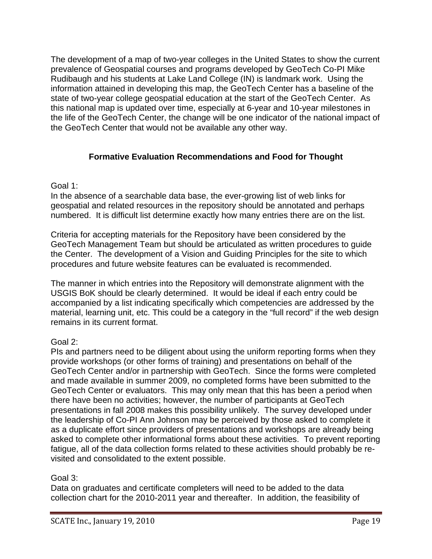The development of a map of two-year colleges in the United States to show the current prevalence of Geospatial courses and programs developed by GeoTech Co-PI Mike Rudibaugh and his students at Lake Land College (IN) is landmark work. Using the information attained in developing this map, the GeoTech Center has a baseline of the state of two-year college geospatial education at the start of the GeoTech Center. As this national map is updated over time, especially at 6-year and 10-year milestones in the life of the GeoTech Center, the change will be one indicator of the national impact of the GeoTech Center that would not be available any other way.

# **Formative Evaluation Recommendations and Food for Thought**

#### Goal 1:

In the absence of a searchable data base, the ever-growing list of web links for geospatial and related resources in the repository should be annotated and perhaps numbered. It is difficult list determine exactly how many entries there are on the list.

Criteria for accepting materials for the Repository have been considered by the GeoTech Management Team but should be articulated as written procedures to guide the Center. The development of a Vision and Guiding Principles for the site to which procedures and future website features can be evaluated is recommended.

The manner in which entries into the Repository will demonstrate alignment with the USGIS BoK should be clearly determined. It would be ideal if each entry could be accompanied by a list indicating specifically which competencies are addressed by the material, learning unit, etc. This could be a category in the "full record" if the web design remains in its current format.

# Goal 2:

PIs and partners need to be diligent about using the uniform reporting forms when they provide workshops (or other forms of training) and presentations on behalf of the GeoTech Center and/or in partnership with GeoTech. Since the forms were completed and made available in summer 2009, no completed forms have been submitted to the GeoTech Center or evaluators. This may only mean that this has been a period when there have been no activities; however, the number of participants at GeoTech presentations in fall 2008 makes this possibility unlikely. The survey developed under the leadership of Co-PI Ann Johnson may be perceived by those asked to complete it as a duplicate effort since providers of presentations and workshops are already being asked to complete other informational forms about these activities. To prevent reporting fatigue, all of the data collection forms related to these activities should probably be revisited and consolidated to the extent possible.

# Goal 3:

Data on graduates and certificate completers will need to be added to the data collection chart for the 2010-2011 year and thereafter. In addition, the feasibility of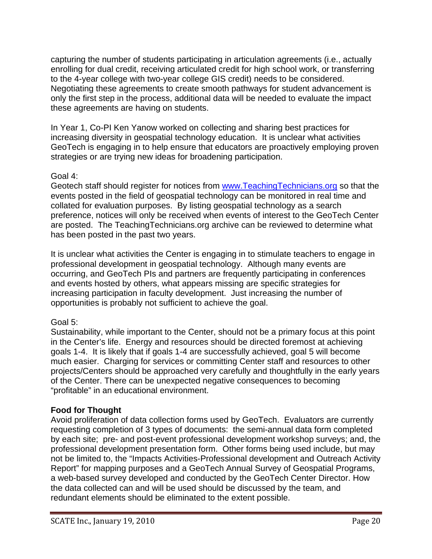capturing the number of students participating in articulation agreements (i.e., actually enrolling for dual credit, receiving articulated credit for high school work, or transferring to the 4-year college with two-year college GIS credit) needs to be considered. Negotiating these agreements to create smooth pathways for student advancement is only the first step in the process, additional data will be needed to evaluate the impact these agreements are having on students.

In Year 1, Co-PI Ken Yanow worked on collecting and sharing best practices for increasing diversity in geospatial technology education. It is unclear what activities GeoTech is engaging in to help ensure that educators are proactively employing proven strategies or are trying new ideas for broadening participation.

#### Goal 4:

Geotech staff should register for notices from www.TeachingTechnicians.org so that the events posted in the field of geospatial technology can be monitored in real time and collated for evaluation purposes. By listing geospatial technology as a search preference, notices will only be received when events of interest to the GeoTech Center are posted. The TeachingTechnicians.org archive can be reviewed to determine what has been posted in the past two years.

It is unclear what activities the Center is engaging in to stimulate teachers to engage in professional development in geospatial technology. Although many events are occurring, and GeoTech PIs and partners are frequently participating in conferences and events hosted by others, what appears missing are specific strategies for increasing participation in faculty development. Just increasing the number of opportunities is probably not sufficient to achieve the goal.

# Goal 5:

Sustainability, while important to the Center, should not be a primary focus at this point in the Center's life. Energy and resources should be directed foremost at achieving goals 1-4. It is likely that if goals 1-4 are successfully achieved, goal 5 will become much easier. Charging for services or committing Center staff and resources to other projects/Centers should be approached very carefully and thoughtfully in the early years of the Center. There can be unexpected negative consequences to becoming "profitable" in an educational environment.

# **Food for Thought**

Avoid proliferation of data collection forms used by GeoTech. Evaluators are currently requesting completion of 3 types of documents: the semi-annual data form completed by each site; pre- and post-event professional development workshop surveys; and, the professional development presentation form. Other forms being used include, but may not be limited to, the "Impacts Activities-Professional development and Outreach Activity Report" for mapping purposes and a GeoTech Annual Survey of Geospatial Programs, a web-based survey developed and conducted by the GeoTech Center Director. How the data collected can and will be used should be discussed by the team, and redundant elements should be eliminated to the extent possible.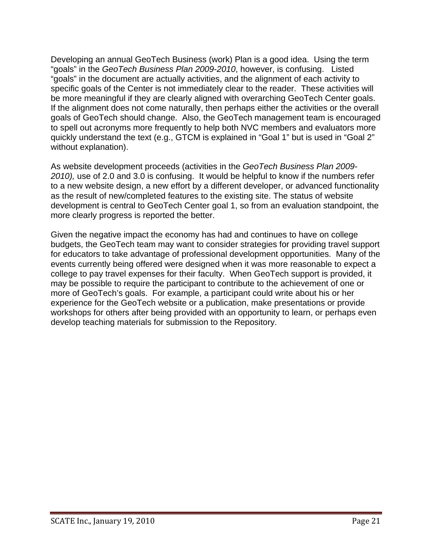Developing an annual GeoTech Business (work) Plan is a good idea. Using the term "goals" in the *GeoTech Business Plan 2009-2010*, however, is confusing. Listed "goals" in the document are actually activities, and the alignment of each activity to specific goals of the Center is not immediately clear to the reader. These activities will be more meaningful if they are clearly aligned with overarching GeoTech Center goals. If the alignment does not come naturally, then perhaps either the activities or the overall goals of GeoTech should change. Also, the GeoTech management team is encouraged to spell out acronyms more frequently to help both NVC members and evaluators more quickly understand the text (e.g., GTCM is explained in "Goal 1" but is used in "Goal 2" without explanation).

As website development proceeds (activities in the *GeoTech Business Plan 2009- 2010),* use of 2.0 and 3.0 is confusing. It would be helpful to know if the numbers refer to a new website design, a new effort by a different developer, or advanced functionality as the result of new/completed features to the existing site. The status of website development is central to GeoTech Center goal 1, so from an evaluation standpoint, the more clearly progress is reported the better.

Given the negative impact the economy has had and continues to have on college budgets, the GeoTech team may want to consider strategies for providing travel support for educators to take advantage of professional development opportunities. Many of the events currently being offered were designed when it was more reasonable to expect a college to pay travel expenses for their faculty. When GeoTech support is provided, it may be possible to require the participant to contribute to the achievement of one or more of GeoTech's goals. For example, a participant could write about his or her experience for the GeoTech website or a publication, make presentations or provide workshops for others after being provided with an opportunity to learn, or perhaps even develop teaching materials for submission to the Repository.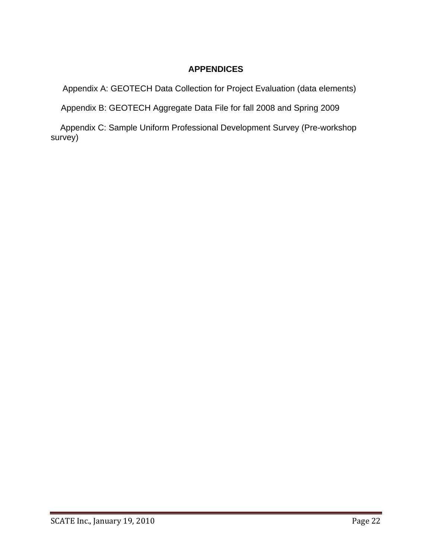# **APPENDICES**

Appendix A: GEOTECH Data Collection for Project Evaluation (data elements)

Appendix B: GEOTECH Aggregate Data File for fall 2008 and Spring 2009

 Appendix C: Sample Uniform Professional Development Survey (Pre-workshop survey)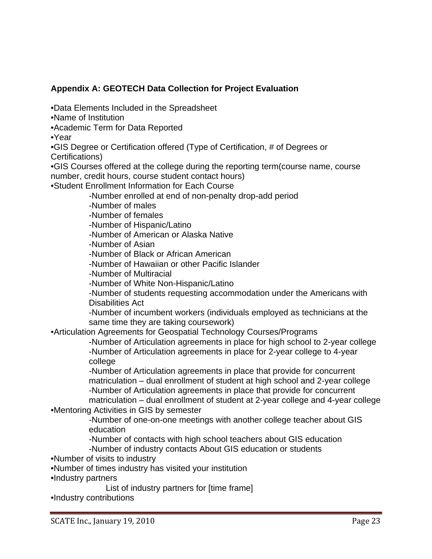# **Appendix A: GEOTECH Data Collection for Project Evaluation**

•Data Elements Included in the Spreadsheet

•Name of Institution

•Academic Term for Data Reported

•Year

•GIS Degree or Certification offered (Type of Certification, # of Degrees or Certifications)

•GIS Courses offered at the college during the reporting term(course name, course number, credit hours, course student contact hours)

•Student Enrollment Information for Each Course

-Number enrolled at end of non-penalty drop-add period

-Number of males

-Number of females

-Number of Hispanic/Latino

-Number of American or Alaska Native

-Number of Asian

-Number of Black or African American

-Number of Hawaiian or other Pacific Islander

-Number of Multiracial

-Number of White Non-Hispanic/Latino

-Number of students requesting accommodation under the Americans with Disabilities Act

-Number of incumbent workers (individuals employed as technicians at the same time they are taking coursework)

•Articulation Agreements for Geospatial Technology Courses/Programs

 -Number of Articulation agreements in place for high school to 2-year college -Number of Articulation agreements in place for 2-year college to 4-year college

-Number of Articulation agreements in place that provide for concurrent matriculation – dual enrollment of student at high school and 2-year college -Number of Articulation agreements in place that provide for concurrent matriculation – dual enrollment of student at 2-year college and 4-year college

•Mentoring Activities in GIS by semester

-Number of one-on-one meetings with another college teacher about GIS education

-Number of contacts with high school teachers about GIS education

-Number of industry contacts About GIS education or students

•Number of visits to industry

•Number of times industry has visited your institution

•Industry partners

List of industry partners for [time frame]

•Industry contributions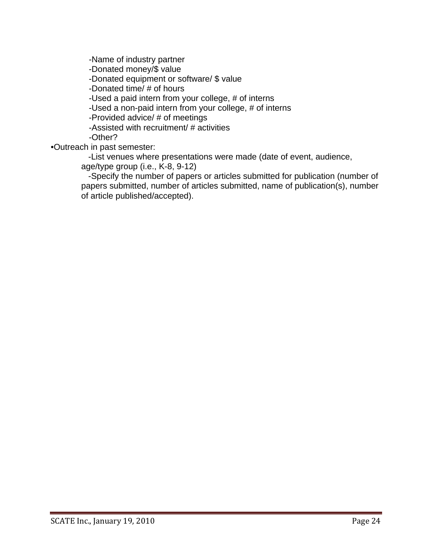-Name of industry partner -Donated money/\$ value -Donated equipment or software/ \$ value -Donated time/ # of hours -Used a paid intern from your college, # of interns -Used a non-paid intern from your college, # of interns -Provided advice/ # of meetings -Assisted with recruitment/ # activities

-Other?

•Outreach in past semester:

 -List venues where presentations were made (date of event, audience, age/type group (i.e., K-8, 9-12)

 -Specify the number of papers or articles submitted for publication (number of papers submitted, number of articles submitted, name of publication(s), number of article published/accepted).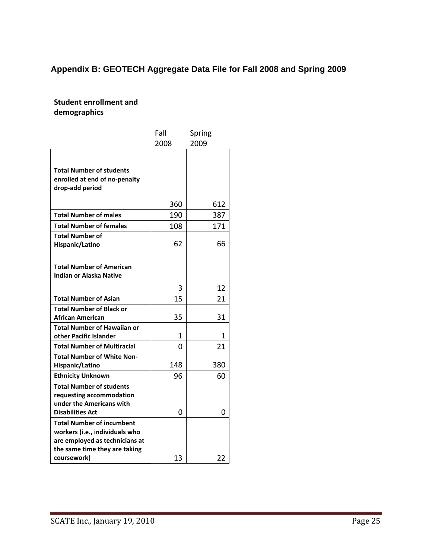# **Appendix B: GEOTECH Aggregate Data File for Fall 2008 and Spring 2009**

**Student enrollment and demographics**

|                                                                                                                                       | Fall   | Spring  |
|---------------------------------------------------------------------------------------------------------------------------------------|--------|---------|
|                                                                                                                                       | 2008   | 2009    |
| <b>Total Number of students</b><br>enrolled at end of no-penalty<br>drop-add period                                                   |        |         |
|                                                                                                                                       | 360    | 612     |
| <b>Total Number of males</b>                                                                                                          | 190    | 387     |
| <b>Total Number of females</b>                                                                                                        | 108    | 171     |
| <b>Total Number of</b><br>Hispanic/Latino                                                                                             | 62     | 66      |
| <b>Total Number of American</b><br>Indian or Alaska Native                                                                            |        |         |
|                                                                                                                                       | 3      | 12      |
| <b>Total Number of Asian</b>                                                                                                          | 15     | 21      |
| <b>Total Number of Black or</b><br>African American                                                                                   | 35     | 31      |
| <b>Total Number of Hawaiian or</b><br>other Pacific Islander<br><b>Total Number of Multiracial</b>                                    | 1<br>O | 1<br>21 |
| <b>Total Number of White Non-</b><br>Hispanic/Latino                                                                                  | 148    | 380     |
| <b>Ethnicity Unknown</b>                                                                                                              | 96     | 60      |
| <b>Total Number of students</b><br>requesting accommodation<br>under the Americans with<br><b>Disabilities Act</b>                    | 0      | 0       |
| <b>Total Number of incumbent</b><br>workers (i.e., individuals who<br>are employed as technicians at<br>the same time they are taking |        |         |
| coursework)                                                                                                                           | 13     | 22      |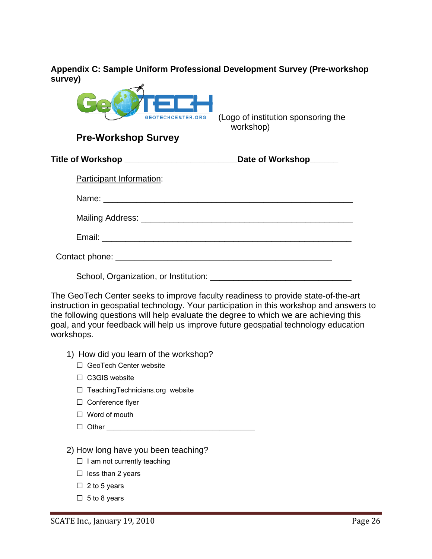**Appendix C: Sample Uniform Professional Development Survey (Pre-workshop survey)** 



**Pre-Workshop Survey** 

 (Logo of institution sponsoring the workshop)

| Title of Workshop _______________________ | Date of Workshop______ |
|-------------------------------------------|------------------------|
| Participant Information:                  |                        |
|                                           |                        |
|                                           |                        |
|                                           |                        |
|                                           |                        |
|                                           |                        |

The GeoTech Center seeks to improve faculty readiness to provide state-of-the-art instruction in geospatial technology. Your participation in this workshop and answers to the following questions will help evaluate the degree to which we are achieving this goal, and your feedback will help us improve future geospatial technology education workshops.

- 1) How did you learn of the workshop?
	- □ GeoTech Center website
	- $\Box$  C3GIS website
	- $\Box$  TeachingTechnicians.org website
	- $\Box$  Conference flyer
	- $\Box$  Word of mouth
	- $\Box$  Other
- 2) How long have you been teaching?
	- $\Box$  I am not currently teaching
	- $\Box$  less than 2 years
	- $\Box$  2 to 5 years
	- $\Box$  5 to 8 years